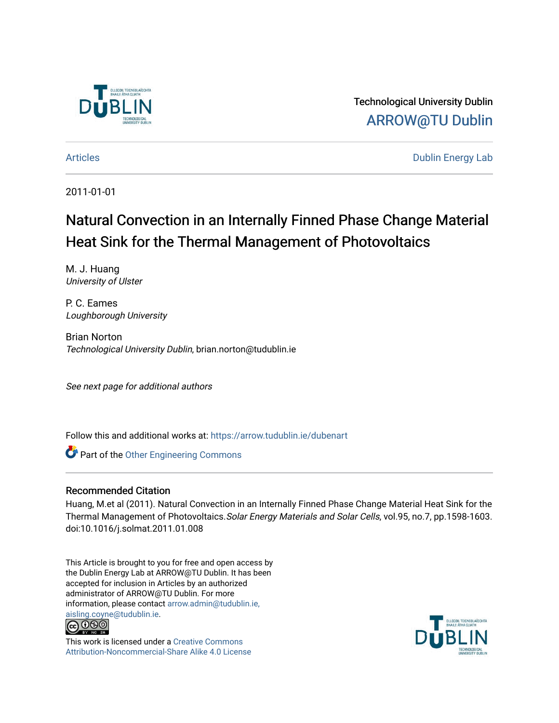

Technological University Dublin [ARROW@TU Dublin](https://arrow.tudublin.ie/) 

[Articles](https://arrow.tudublin.ie/dubenart) **Dublin Energy Lab** 

2011-01-01

# Natural Convection in an Internally Finned Phase Change Material Heat Sink for the Thermal Management of Photovoltaics

M. J. Huang University of Ulster

P. C. Eames Loughborough University

Brian Norton Technological University Dublin, brian.norton@tudublin.ie

See next page for additional authors

Follow this and additional works at: [https://arrow.tudublin.ie/dubenart](https://arrow.tudublin.ie/dubenart?utm_source=arrow.tudublin.ie%2Fdubenart%2F48&utm_medium=PDF&utm_campaign=PDFCoverPages) 

**Part of the Other Engineering Commons** 

#### Recommended Citation

Huang, M.et al (2011). Natural Convection in an Internally Finned Phase Change Material Heat Sink for the Thermal Management of Photovoltaics.Solar Energy Materials and Solar Cells, vol.95, no.7, pp.1598-1603. doi:10.1016/j.solmat.2011.01.008

This Article is brought to you for free and open access by the Dublin Energy Lab at ARROW@TU Dublin. It has been accepted for inclusion in Articles by an authorized administrator of ARROW@TU Dublin. For more information, please contact [arrow.admin@tudublin.ie,](mailto:arrow.admin@tudublin.ie,%20aisling.coyne@tudublin.ie)  [aisling.coyne@tudublin.ie.](mailto:arrow.admin@tudublin.ie,%20aisling.coyne@tudublin.ie)<br>@009



This work is licensed under a [Creative Commons](http://creativecommons.org/licenses/by-nc-sa/4.0/) [Attribution-Noncommercial-Share Alike 4.0 License](http://creativecommons.org/licenses/by-nc-sa/4.0/)

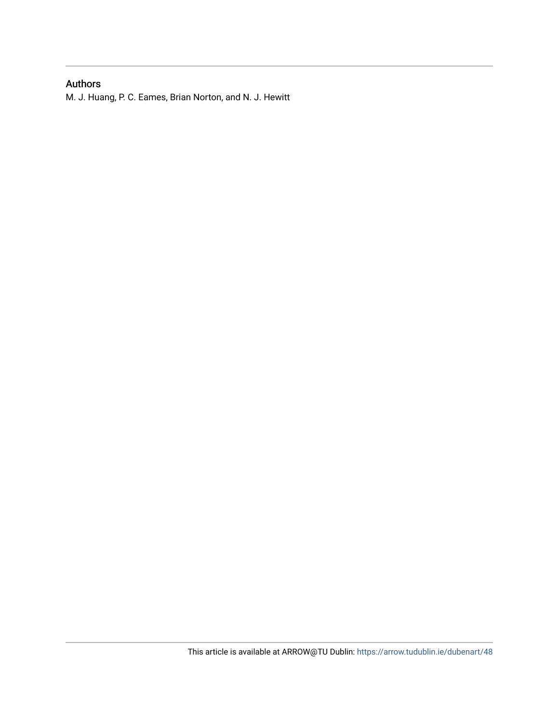# Authors

M. J. Huang, P. C. Eames, Brian Norton, and N. J. Hewitt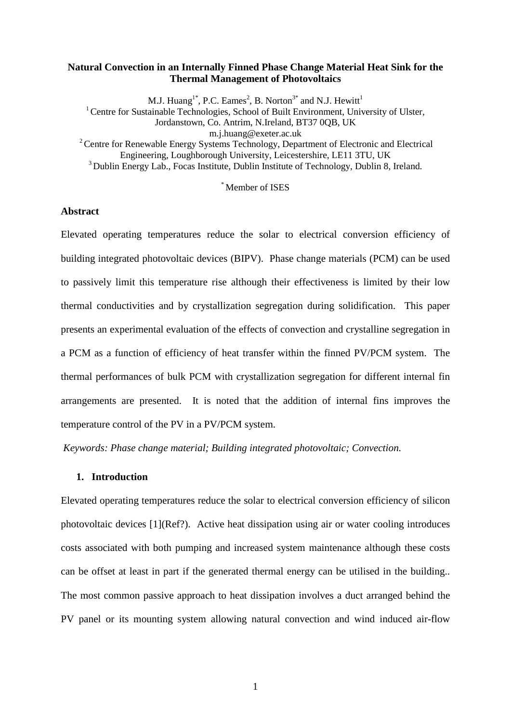# **Natural Convection in an Internally Finned Phase Change Material Heat Sink for the Thermal Management of Photovoltaics**

M.J. Huang<sup>1\*</sup>, P.C. Eames<sup>2</sup>, B. Norton<sup>3\*</sup> and N.J. Hewitt<sup>1</sup> <sup>1</sup> Centre for Sustainable Technologies, School of Built Environment, University of Ulster, Jordanstown, Co. Antrim, N.Ireland, BT37 0QB, UK m.j.huang@exeter.ac.uk <sup>2</sup> Centre for Renewable Energy Systems Technology, Department of Electronic and Electrical Engineering, Loughborough University, Leicestershire, LE11 3TU, UK <sup>3</sup> Dublin Energy Lab., Focas Institute, Dublin Institute of Technology, Dublin 8, Ireland.

\* Member of ISES

# **Abstract**

Elevated operating temperatures reduce the solar to electrical conversion efficiency of building integrated photovoltaic devices (BIPV). Phase change materials (PCM) can be used to passively limit this temperature rise although their effectiveness is limited by their low thermal conductivities and by crystallization segregation during solidification. This paper presents an experimental evaluation of the effects of convection and crystalline segregation in a PCM as a function of efficiency of heat transfer within the finned PV/PCM system. The thermal performances of bulk PCM with crystallization segregation for different internal fin arrangements are presented. It is noted that the addition of internal fins improves the temperature control of the PV in a PV/PCM system.

*Keywords: Phase change material; Building integrated photovoltaic; Convection.*

#### **1. Introduction**

Elevated operating temperatures reduce the solar to electrical conversion efficiency of silicon photovoltaic devices [1](Ref?). Active heat dissipation using air or water cooling introduces costs associated with both pumping and increased system maintenance although these costs can be offset at least in part if the generated thermal energy can be utilised in the building.. The most common passive approach to heat dissipation involves a duct arranged behind the PV panel or its mounting system allowing natural convection and wind induced air-flow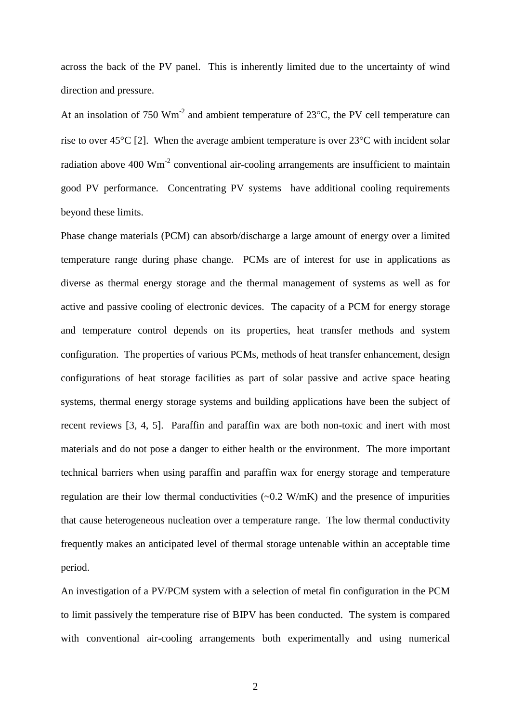across the back of the PV panel. This is inherently limited due to the uncertainty of wind direction and pressure.

At an insolation of 750  $Wm^{-2}$  and ambient temperature of 23 $^{\circ}$ C, the PV cell temperature can rise to over 45°C [2]. When the average ambient temperature is over 23°C with incident solar radiation above 400  $\text{Wm}^2$  conventional air-cooling arrangements are insufficient to maintain good PV performance. Concentrating PV systems have additional cooling requirements beyond these limits.

Phase change materials (PCM) can absorb/discharge a large amount of energy over a limited temperature range during phase change. PCMs are of interest for use in applications as diverse as thermal energy storage and the thermal management of systems as well as for active and passive cooling of electronic devices. The capacity of a PCM for energy storage and temperature control depends on its properties, heat transfer methods and system configuration. The properties of various PCMs, methods of heat transfer enhancement, design configurations of heat storage facilities as part of solar passive and active space heating systems, thermal energy storage systems and building applications have been the subject of recent reviews [3, 4, 5]. Paraffin and paraffin wax are both non-toxic and inert with most materials and do not pose a danger to either health or the environment. The more important technical barriers when using paraffin and paraffin wax for energy storage and temperature regulation are their low thermal conductivities  $(-0.2 \text{ W/mK})$  and the presence of impurities that cause heterogeneous nucleation over a temperature range. The low thermal conductivity frequently makes an anticipated level of thermal storage untenable within an acceptable time period.

An investigation of a PV/PCM system with a selection of metal fin configuration in the PCM to limit passively the temperature rise of BIPV has been conducted. The system is compared with conventional air-cooling arrangements both experimentally and using numerical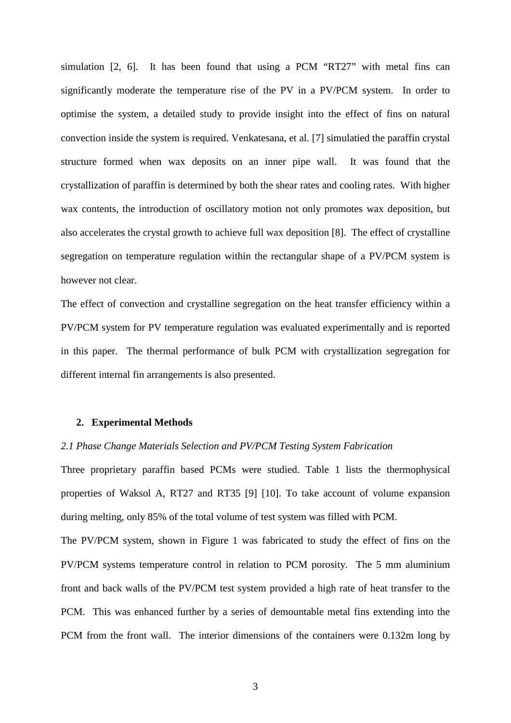simulation [2, 6]. It has been found that using a PCM "RT27" with metal fins can significantly moderate the temperature rise of the PV in a PV/PCM system. In order to optimise the system, a detailed study to provide insight into the effect of fins on natural convection inside the system is required. Venkatesana, et al. [7] simulatied the paraffin crystal structure formed when wax deposits on an inner pipe wall. It was found that the crystallization of paraffin is determined by both the shear rates and cooling rates. With higher wax contents, the introduction of oscillatory motion not only promotes wax deposition, but also accelerates the crystal growth to achieve full wax deposition [8]. The effect of crystalline segregation on temperature regulation within the rectangular shape of a PV/PCM system is however not clear.

The effect of convection and crystalline segregation on the heat transfer efficiency within a PV/PCM system for PV temperature regulation was evaluated experimentally and is reported in this paper. The thermal performance of bulk PCM with crystallization segregation for different internal fin arrangements is also presented.

### **2. Experimental Methods**

#### *2.1 Phase Change Materials Selection and PV/PCM Testing System Fabrication*

Three proprietary paraffin based PCMs were studied. Table 1 lists the thermophysical properties of Waksol A, RT27 and RT35 [9] [10]. To take account of volume expansion during melting, only 85% of the total volume of test system was filled with PCM.

The PV/PCM system, shown in Figure 1 was fabricated to study the effect of fins on the PV/PCM systems temperature control in relation to PCM porosity. The 5 mm aluminium front and back walls of the PV/PCM test system provided a high rate of heat transfer to the PCM. This was enhanced further by a series of demountable metal fins extending into the PCM from the front wall. The interior dimensions of the containers were 0.132m long by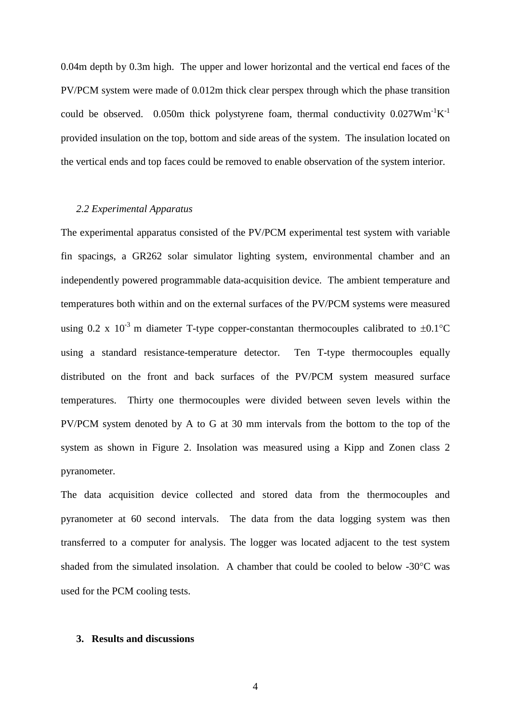0.04m depth by 0.3m high. The upper and lower horizontal and the vertical end faces of the PV/PCM system were made of 0.012m thick clear perspex through which the phase transition could be observed. 0.050m thick polystyrene foam, thermal conductivity  $0.027 W m^{-1} K^{-1}$ provided insulation on the top, bottom and side areas of the system. The insulation located on the vertical ends and top faces could be removed to enable observation of the system interior.

### *2.2 Experimental Apparatus*

The experimental apparatus consisted of the PV/PCM experimental test system with variable fin spacings, a GR262 solar simulator lighting system, environmental chamber and an independently powered programmable data-acquisition device. The ambient temperature and temperatures both within and on the external surfaces of the PV/PCM systems were measured using 0.2 x  $10^{-3}$  m diameter T-type copper-constantan thermocouples calibrated to  $\pm 0.1^{\circ}$ C using a standard resistance-temperature detector. Ten T-type thermocouples equally distributed on the front and back surfaces of the PV/PCM system measured surface temperatures. Thirty one thermocouples were divided between seven levels within the PV/PCM system denoted by A to G at 30 mm intervals from the bottom to the top of the system as shown in Figure 2. Insolation was measured using a Kipp and Zonen class 2 pyranometer.

The data acquisition device collected and stored data from the thermocouples and pyranometer at 60 second intervals. The data from the data logging system was then transferred to a computer for analysis. The logger was located adjacent to the test system shaded from the simulated insolation. A chamber that could be cooled to below -30°C was used for the PCM cooling tests.

#### **3. Results and discussions**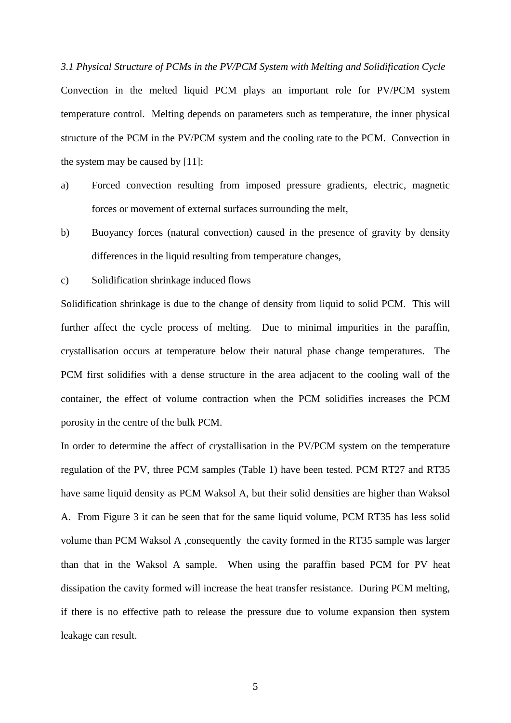*3.1 Physical Structure of PCMs in the PV/PCM System with Melting and Solidification Cycle* Convection in the melted liquid PCM plays an important role for PV/PCM system temperature control. Melting depends on parameters such as temperature, the inner physical structure of the PCM in the PV/PCM system and the cooling rate to the PCM. Convection in the system may be caused by [11]:

- a) Forced convection resulting from imposed pressure gradients, electric, magnetic forces or movement of external surfaces surrounding the melt,
- b) Buoyancy forces (natural convection) caused in the presence of gravity by density differences in the liquid resulting from temperature changes,
- c) Solidification shrinkage induced flows

Solidification shrinkage is due to the change of density from liquid to solid PCM. This will further affect the cycle process of melting. Due to minimal impurities in the paraffin, crystallisation occurs at temperature below their natural phase change temperatures. The PCM first solidifies with a dense structure in the area adjacent to the cooling wall of the container, the effect of volume contraction when the PCM solidifies increases the PCM porosity in the centre of the bulk PCM.

In order to determine the affect of crystallisation in the PV/PCM system on the temperature regulation of the PV, three PCM samples (Table 1) have been tested. PCM RT27 and RT35 have same liquid density as PCM Waksol A, but their solid densities are higher than Waksol A. From Figure 3 it can be seen that for the same liquid volume, PCM RT35 has less solid volume than PCM Waksol A ,consequently the cavity formed in the RT35 sample was larger than that in the Waksol A sample. When using the paraffin based PCM for PV heat dissipation the cavity formed will increase the heat transfer resistance. During PCM melting, if there is no effective path to release the pressure due to volume expansion then system leakage can result.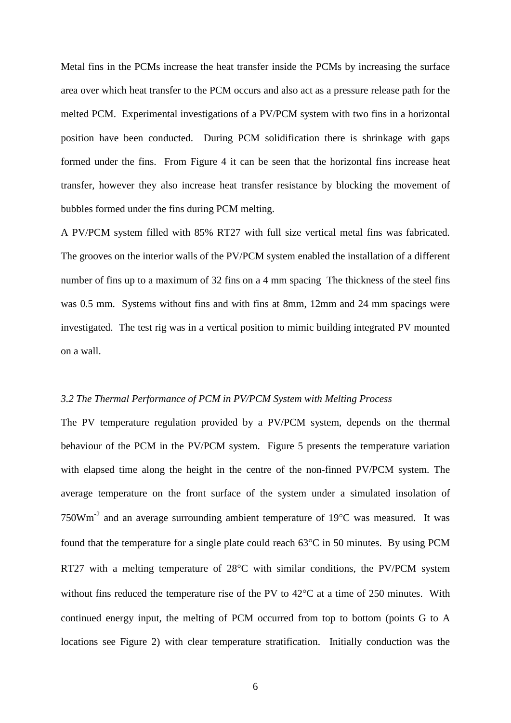Metal fins in the PCMs increase the heat transfer inside the PCMs by increasing the surface area over which heat transfer to the PCM occurs and also act as a pressure release path for the melted PCM. Experimental investigations of a PV/PCM system with two fins in a horizontal position have been conducted. During PCM solidification there is shrinkage with gaps formed under the fins. From Figure 4 it can be seen that the horizontal fins increase heat transfer, however they also increase heat transfer resistance by blocking the movement of bubbles formed under the fins during PCM melting.

A PV/PCM system filled with 85% RT27 with full size vertical metal fins was fabricated. The grooves on the interior walls of the PV/PCM system enabled the installation of a different number of fins up to a maximum of 32 fins on a 4 mm spacing The thickness of the steel fins was 0.5 mm. Systems without fins and with fins at 8mm, 12mm and 24 mm spacings were investigated. The test rig was in a vertical position to mimic building integrated PV mounted on a wall.

#### *3.2 The Thermal Performance of PCM in PV/PCM System with Melting Process*

The PV temperature regulation provided by a PV/PCM system, depends on the thermal behaviour of the PCM in the PV/PCM system. Figure 5 presents the temperature variation with elapsed time along the height in the centre of the non-finned PV/PCM system. The average temperature on the front surface of the system under a simulated insolation of 750Wm-2 and an average surrounding ambient temperature of 19°C was measured. It was found that the temperature for a single plate could reach 63°C in 50 minutes. By using PCM RT27 with a melting temperature of 28°C with similar conditions, the PV/PCM system without fins reduced the temperature rise of the PV to 42°C at a time of 250 minutes. With continued energy input, the melting of PCM occurred from top to bottom (points G to A locations see Figure 2) with clear temperature stratification. Initially conduction was the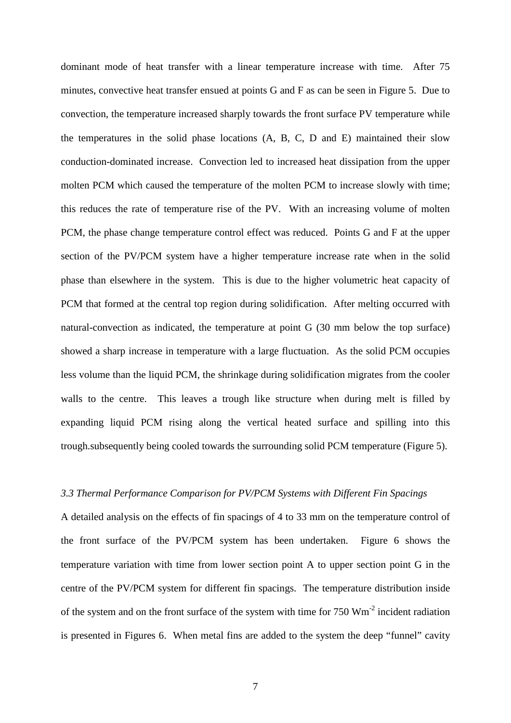dominant mode of heat transfer with a linear temperature increase with time. After 75 minutes, convective heat transfer ensued at points G and F as can be seen in Figure 5. Due to convection, the temperature increased sharply towards the front surface PV temperature while the temperatures in the solid phase locations (A, B, C, D and E) maintained their slow conduction-dominated increase. Convection led to increased heat dissipation from the upper molten PCM which caused the temperature of the molten PCM to increase slowly with time; this reduces the rate of temperature rise of the PV. With an increasing volume of molten PCM, the phase change temperature control effect was reduced. Points G and F at the upper section of the PV/PCM system have a higher temperature increase rate when in the solid phase than elsewhere in the system. This is due to the higher volumetric heat capacity of PCM that formed at the central top region during solidification. After melting occurred with natural-convection as indicated, the temperature at point G (30 mm below the top surface) showed a sharp increase in temperature with a large fluctuation. As the solid PCM occupies less volume than the liquid PCM, the shrinkage during solidification migrates from the cooler walls to the centre. This leaves a trough like structure when during melt is filled by expanding liquid PCM rising along the vertical heated surface and spilling into this trough.subsequently being cooled towards the surrounding solid PCM temperature (Figure 5).

# *3.3 Thermal Performance Comparison for PV/PCM Systems with Different Fin Spacings*

A detailed analysis on the effects of fin spacings of 4 to 33 mm on the temperature control of the front surface of the PV/PCM system has been undertaken. Figure 6 shows the temperature variation with time from lower section point A to upper section point G in the centre of the PV/PCM system for different fin spacings. The temperature distribution inside of the system and on the front surface of the system with time for  $750 \text{ Wm}^2$  incident radiation is presented in Figures 6. When metal fins are added to the system the deep "funnel" cavity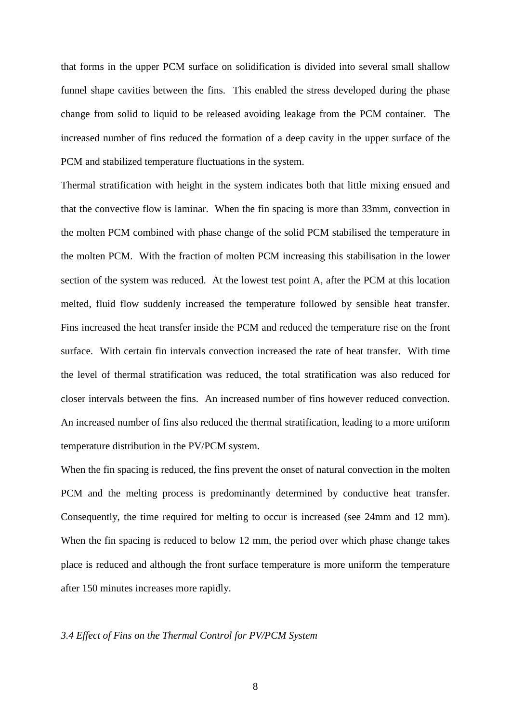that forms in the upper PCM surface on solidification is divided into several small shallow funnel shape cavities between the fins. This enabled the stress developed during the phase change from solid to liquid to be released avoiding leakage from the PCM container. The increased number of fins reduced the formation of a deep cavity in the upper surface of the PCM and stabilized temperature fluctuations in the system.

Thermal stratification with height in the system indicates both that little mixing ensued and that the convective flow is laminar. When the fin spacing is more than 33mm, convection in the molten PCM combined with phase change of the solid PCM stabilised the temperature in the molten PCM. With the fraction of molten PCM increasing this stabilisation in the lower section of the system was reduced. At the lowest test point A, after the PCM at this location melted, fluid flow suddenly increased the temperature followed by sensible heat transfer. Fins increased the heat transfer inside the PCM and reduced the temperature rise on the front surface. With certain fin intervals convection increased the rate of heat transfer. With time the level of thermal stratification was reduced, the total stratification was also reduced for closer intervals between the fins. An increased number of fins however reduced convection. An increased number of fins also reduced the thermal stratification, leading to a more uniform temperature distribution in the PV/PCM system.

When the fin spacing is reduced, the fins prevent the onset of natural convection in the molten PCM and the melting process is predominantly determined by conductive heat transfer. Consequently, the time required for melting to occur is increased (see 24mm and 12 mm). When the fin spacing is reduced to below 12 mm, the period over which phase change takes place is reduced and although the front surface temperature is more uniform the temperature after 150 minutes increases more rapidly.

# *3.4 Effect of Fins on the Thermal Control for PV/PCM System*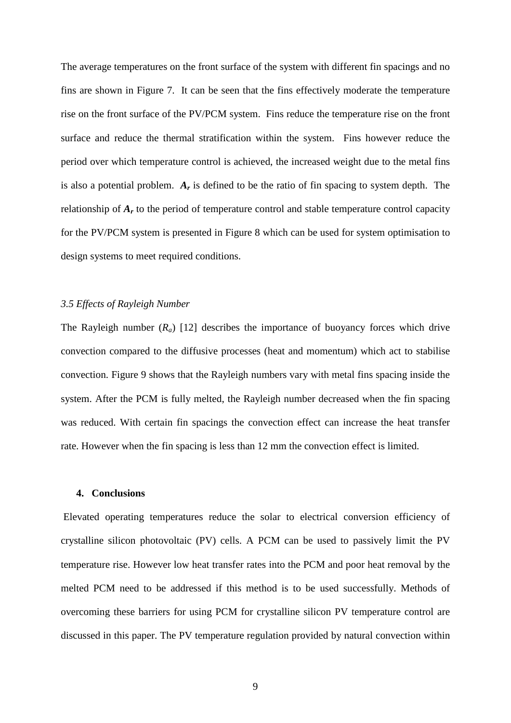The average temperatures on the front surface of the system with different fin spacings and no fins are shown in Figure 7. It can be seen that the fins effectively moderate the temperature rise on the front surface of the PV/PCM system. Fins reduce the temperature rise on the front surface and reduce the thermal stratification within the system. Fins however reduce the period over which temperature control is achieved, the increased weight due to the metal fins is also a potential problem. *Ar* is defined to be the ratio of fin spacing to system depth. The relationship of *Ar* to the period of temperature control and stable temperature control capacity for the PV/PCM system is presented in Figure 8 which can be used for system optimisation to design systems to meet required conditions.

### *3.5 Effects of Rayleigh Number*

The Rayleigh number  $(R_a)$  [12] describes the importance of buoyancy forces which drive convection compared to the diffusive processes (heat and momentum) which act to stabilise convection. Figure 9 shows that the Rayleigh numbers vary with metal fins spacing inside the system. After the PCM is fully melted, the Rayleigh number decreased when the fin spacing was reduced. With certain fin spacings the convection effect can increase the heat transfer rate. However when the fin spacing is less than 12 mm the convection effect is limited.

### **4. Conclusions**

Elevated operating temperatures reduce the solar to electrical conversion efficiency of crystalline silicon photovoltaic (PV) cells. A PCM can be used to passively limit the PV temperature rise. However low heat transfer rates into the PCM and poor heat removal by the melted PCM need to be addressed if this method is to be used successfully. Methods of overcoming these barriers for using PCM for crystalline silicon PV temperature control are discussed in this paper. The PV temperature regulation provided by natural convection within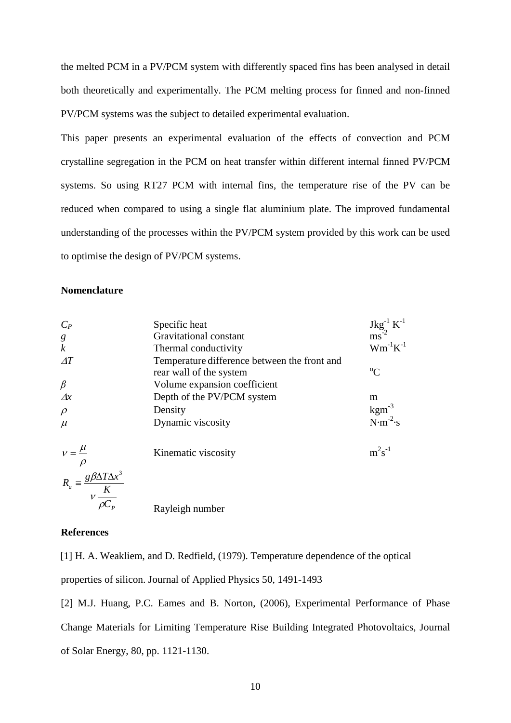the melted PCM in a PV/PCM system with differently spaced fins has been analysed in detail both theoretically and experimentally. The PCM melting process for finned and non-finned PV/PCM systems was the subject to detailed experimental evaluation.

This paper presents an experimental evaluation of the effects of convection and PCM crystalline segregation in the PCM on heat transfer within different internal finned PV/PCM systems. So using RT27 PCM with internal fins, the temperature rise of the PV can be reduced when compared to using a single flat aluminium plate. The improved fundamental understanding of the processes within the PV/PCM system provided by this work can be used to optimise the design of PV/PCM systems.

# **Nomenclature**

| $C_P$                                                                 | Specific heat                                | $\begin{array}{c} \rm{Jkg}^{^{-1}}\ K^{^{-1}} \\ \rm{ms}^{^{2}} \end{array}$ |
|-----------------------------------------------------------------------|----------------------------------------------|------------------------------------------------------------------------------|
|                                                                       | Gravitational constant                       |                                                                              |
| $\frac{g}{k}$                                                         | Thermal conductivity                         | $\mathbf{W}\mathbf{m}^{\text{-}1}\mathbf{K}^{\text{-}1}$                     |
| $\varDelta T$                                                         | Temperature difference between the front and |                                                                              |
|                                                                       | rear wall of the system                      | $\rm ^{o}C$                                                                  |
| $\beta$                                                               | Volume expansion coefficient                 |                                                                              |
| $\Delta x$                                                            | Depth of the PV/PCM system                   | m                                                                            |
| $\rho$                                                                | Density                                      | $\text{kgm}^{-3}$                                                            |
| $\mu$                                                                 | Dynamic viscosity                            | $N \cdot m^{-2} \cdot s$                                                     |
| $v = \frac{\mu}{\rho}$                                                | Kinematic viscosity                          | $m^2s^{-1}$                                                                  |
| $R_a \equiv \frac{g \beta \Delta T \Delta x^3}{v \frac{K}{\rho C_p}}$ | Rayleigh number                              |                                                                              |

#### **References**

[1] H. A. Weakliem, and D. Redfield, (1979). Temperature dependence of the optical properties of silicon. Journal of Applied Physics 50, 1491-1493

[2] M.J. Huang, P.C. Eames and B. Norton, (2006), Experimental Performance of Phase Change Materials for Limiting Temperature Rise Building Integrated Photovoltaics, Journal of Solar Energy, 80, pp. 1121-1130.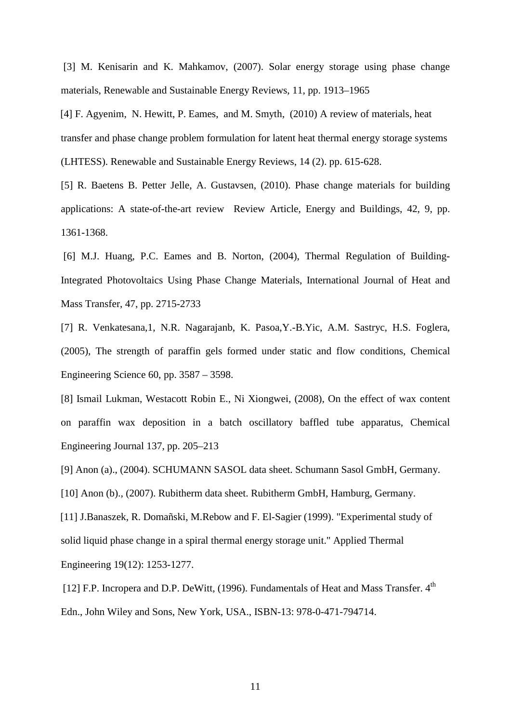[3] M. Kenisarin and K. Mahkamov, (2007). Solar energy storage using phase change materials, Renewable and Sustainable Energy Reviews, 11, pp. 1913–1965

[4] F. Agyenim, N. Hewitt, P. Eames, and M. Smyth, (2010) A review of materials, heat transfer and phase change problem formulation for latent heat thermal energy storage systems (LHTESS). Renewable and Sustainable Energy Reviews, 14 (2). pp. 615-628.

[5] R. Baetens B. Petter Jelle, A. Gustavsen, (2010). Phase change materials for building applications: A state-of-the-art review Review Article, Energy and Buildings, 42, 9, pp. 1361-1368.

[6] M.J. Huang, P.C. Eames and B. Norton, (2004), Thermal Regulation of Building-Integrated Photovoltaics Using Phase Change Materials, International Journal of Heat and Mass Transfer, 47, pp. 2715-2733

[7] R. Venkatesana,1, N.R. Nagarajanb, K. Pasoa,Y.-B.Yic, A.M. Sastryc, H.S. Foglera, (2005), The strength of paraffin gels formed under static and flow conditions, Chemical Engineering Science 60, pp. 3587 – 3598.

[8] Ismail Lukman, Westacott Robin E., Ni Xiongwei, (2008), On the effect of wax content on paraffin wax deposition in a batch oscillatory baffled tube apparatus, Chemical Engineering Journal 137, pp. 205–213

[9] Anon (a)., (2004). SCHUMANN SASOL data sheet. Schumann Sasol GmbH, Germany.

[10] Anon (b)., (2007). Rubitherm data sheet. Rubitherm GmbH, Hamburg, Germany.

[11] J.Banaszek, R. Domañski, M.Rebow and F. El-Sagier (1999). "Experimental study of solid liquid phase change in a spiral thermal energy storage unit." Applied Thermal Engineering 19(12): 1253-1277.

[12] F.P. Incropera and D.P. DeWitt, (1996). Fundamentals of Heat and Mass Transfer.  $4<sup>th</sup>$ Edn., John Wiley and Sons, New York, USA., ISBN-13: 978-0-471-794714.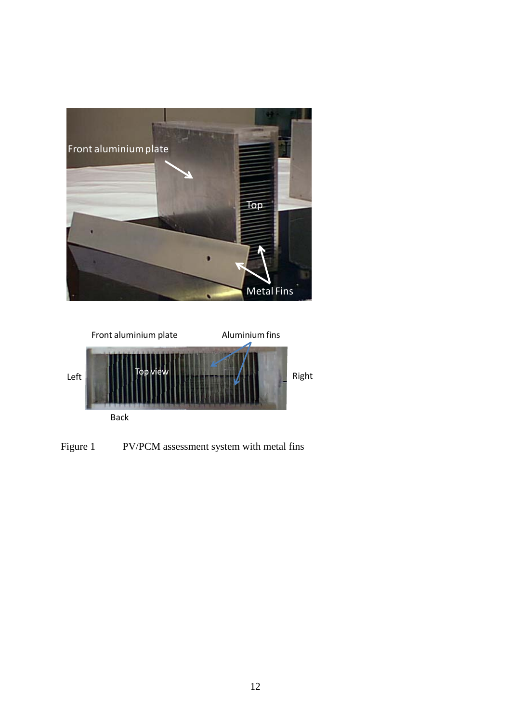



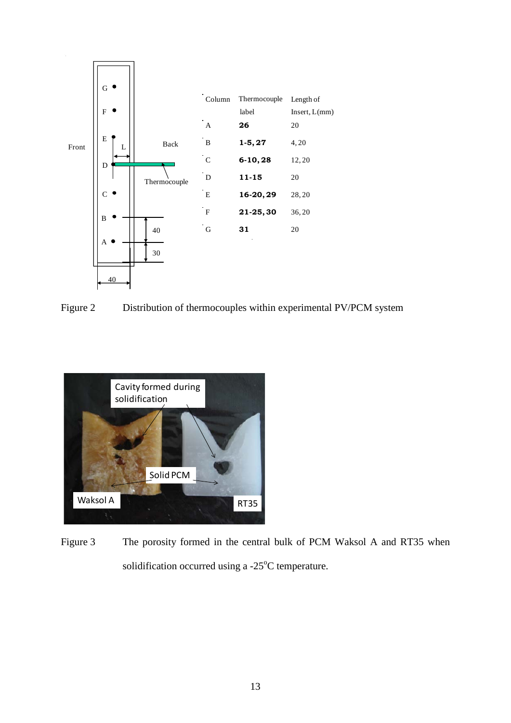

Figure 2 Distribution of thermocouples within experimental PV/PCM system



Figure 3 The porosity formed in the central bulk of PCM Waksol A and RT35 when solidification occurred using a  $-25^{\circ}$ C temperature.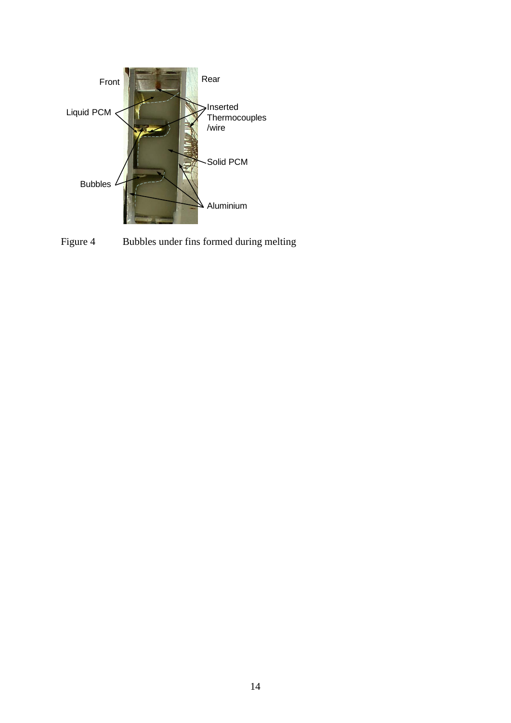

Figure 4 Bubbles under fins formed during melting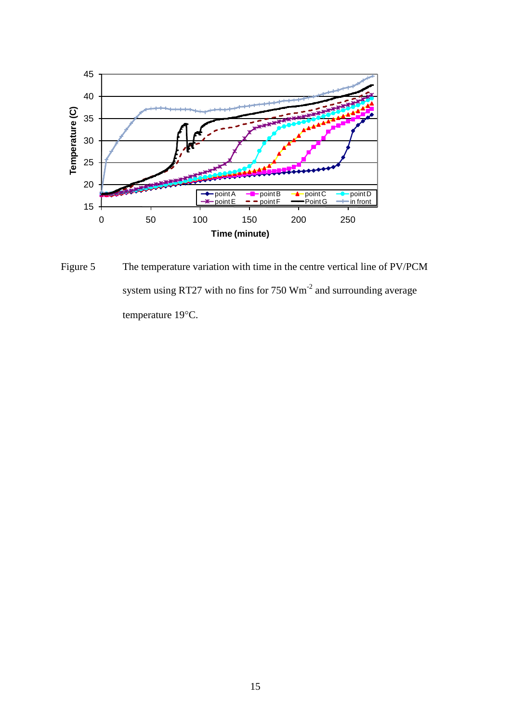

Figure 5 The temperature variation with time in the centre vertical line of PV/PCM system using RT27 with no fins for 750 Wm<sup>-2</sup> and surrounding average temperature 19°C.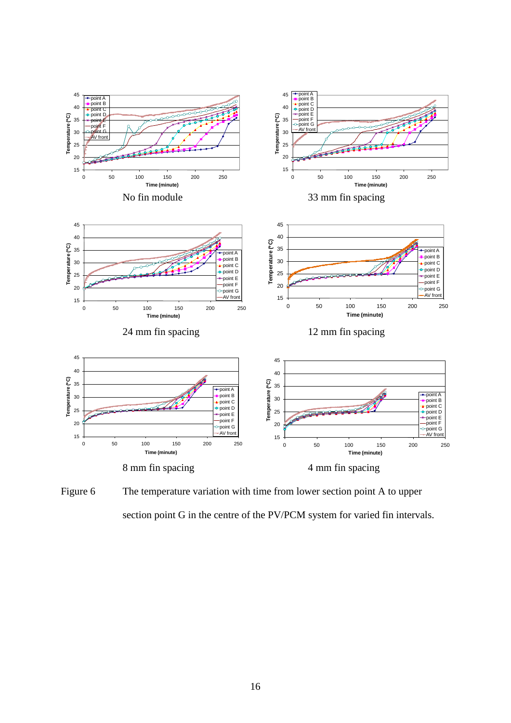

Figure 6 The temperature variation with time from lower section point A to upper section point G in the centre of the PV/PCM system for varied fin intervals.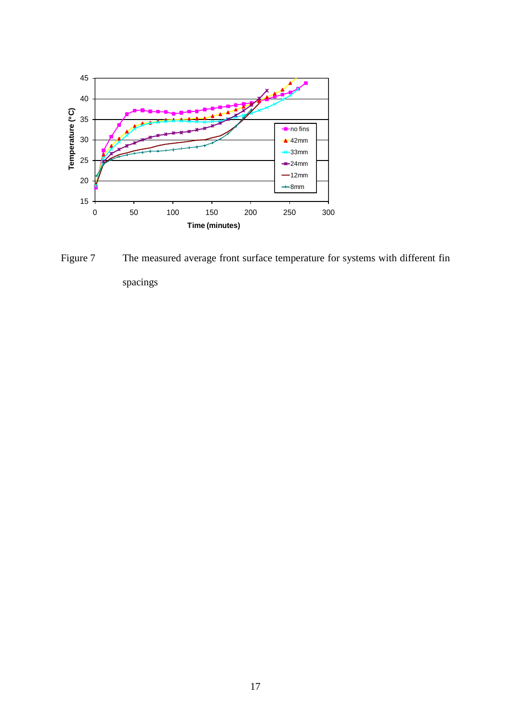

Figure 7 The measured average front surface temperature for systems with different fin spacings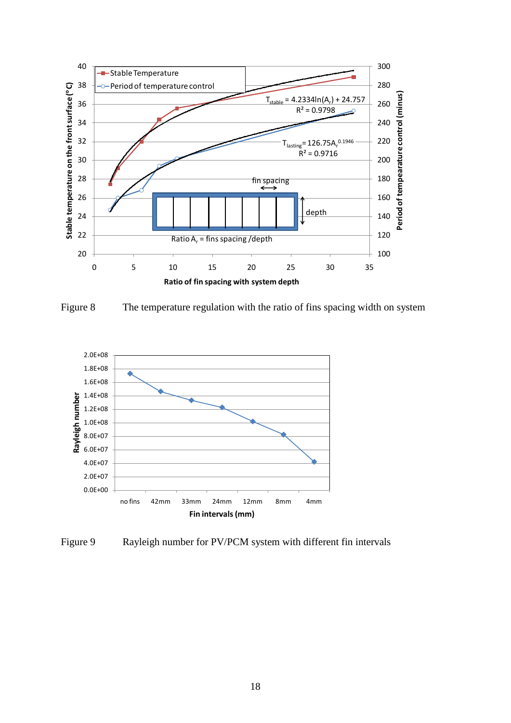

Figure 8 The temperature regulation with the ratio of fins spacing width on system



Figure 9 Rayleigh number for PV/PCM system with different fin intervals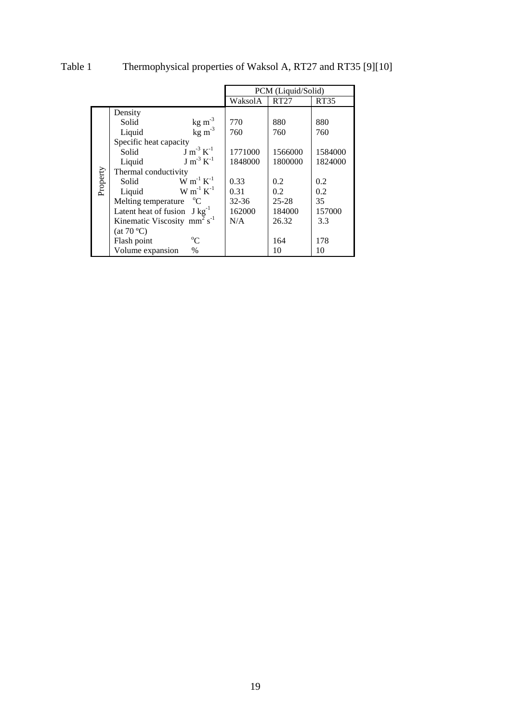|          |                                                      | PCM (Liquid/Solid) |           |         |  |
|----------|------------------------------------------------------|--------------------|-----------|---------|--|
|          |                                                      | WaksolA            | RT27      | RT35    |  |
| Property | Density                                              |                    |           |         |  |
|          | $\frac{\text{kg m}^{-3}}{\text{kg m}^{-3}}$<br>Solid | 770                | 880       | 880     |  |
|          | Liquid                                               | 760                | 760       | 760     |  |
|          | Specific heat capacity                               |                    |           |         |  |
|          | $J m^{-3} K^{-1}$<br>Solid                           | 1771000            | 1566000   | 1584000 |  |
|          | $\text{Im}^{3} \text{K}^{-1}$<br>Liquid              | 1848000            | 1800000   | 1824000 |  |
|          | Thermal conductivity                                 |                    |           |         |  |
|          | $W m^{-1} K^{-1}$<br>Solid                           | 0.33               | 0.2       | 0.2     |  |
|          | $W m^{-1} K^{-1}$<br>Liquid                          | 0.31               | 0.2       | 0.2     |  |
|          | Melting temperature<br>$^{\circ}C$                   | $32 - 36$          | $25 - 28$ | 35      |  |
|          | Latent heat of fusion $J kg^{-1}$                    | 162000             | 184000    | 157000  |  |
|          | Kinematic Viscosity mm <sup>2</sup> s <sup>-1</sup>  | N/A                | 26.32     | 3.3     |  |
|          | (at 70 °C)                                           |                    |           |         |  |
|          | $\rm ^{o}C$<br>Flash point                           |                    | 164       | 178     |  |
|          | Volume expansion<br>$\%$                             |                    | 10        | 10      |  |